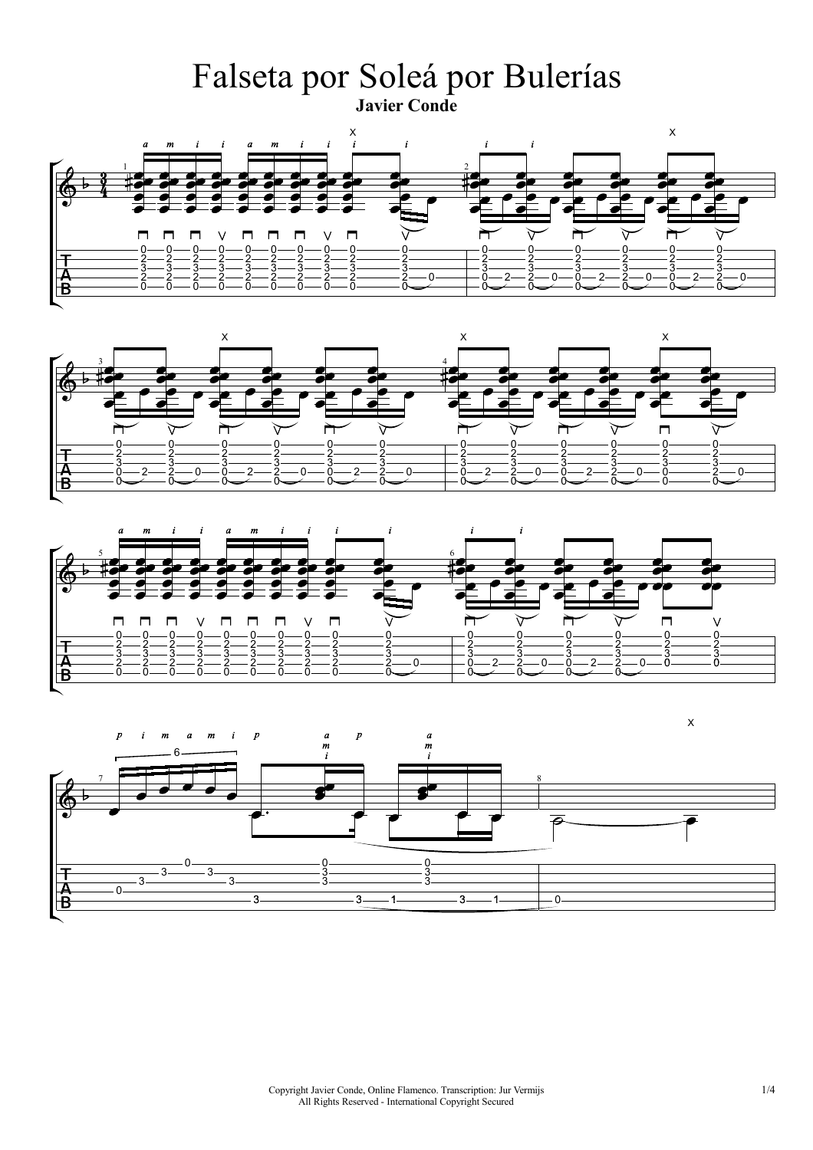Falseta por Soleá por Bulerías Javier Conde







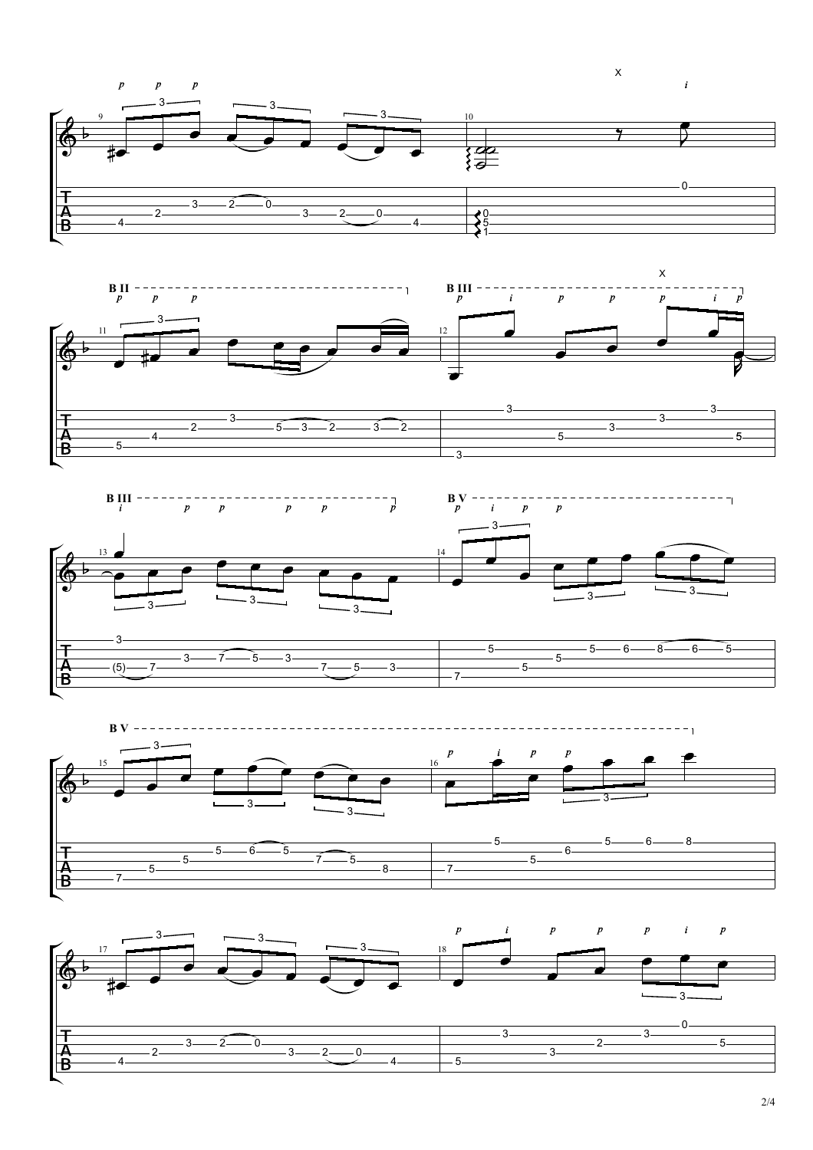







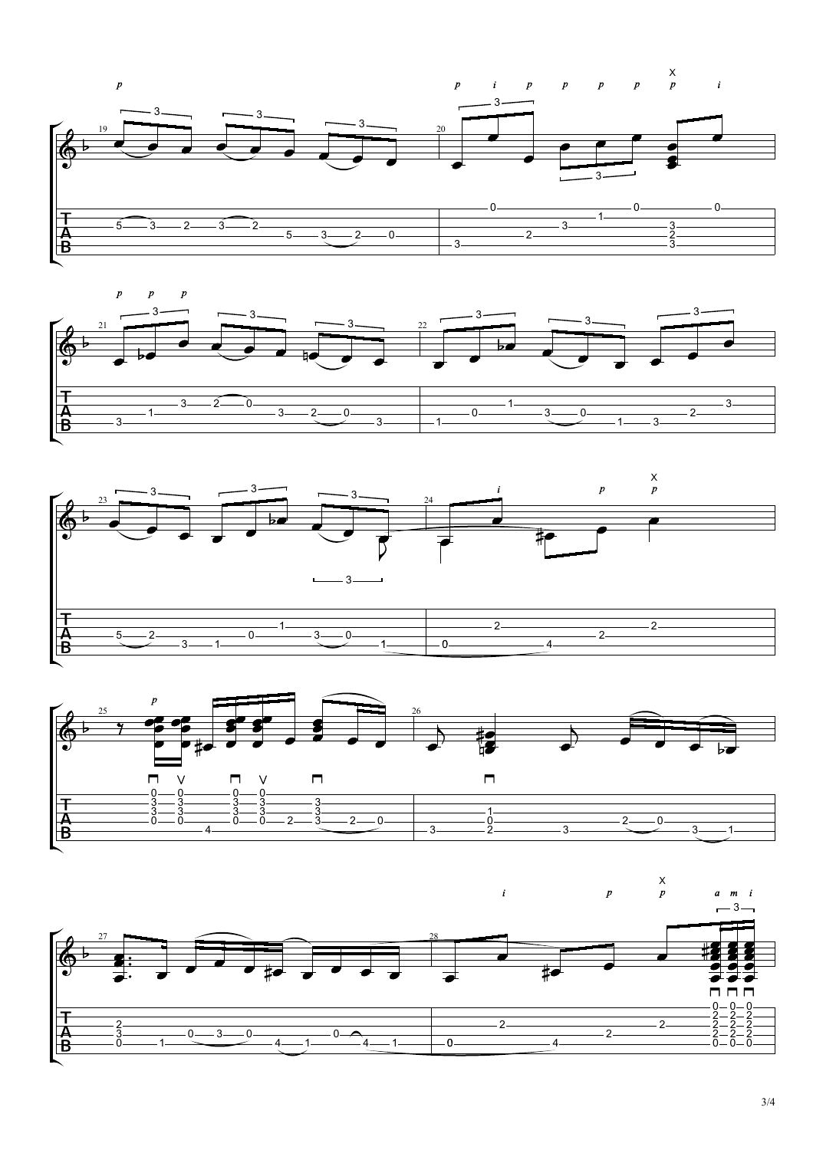